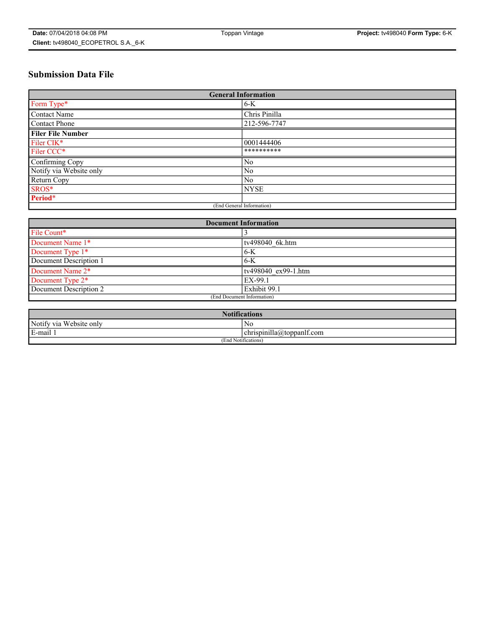# **Submission Data File**

| <b>General Information</b> |                |
|----------------------------|----------------|
| Form Type*                 | $6-K$          |
| Contact Name               | Chris Pinilla  |
| Contact Phone              | 212-596-7747   |
| <b>Filer File Number</b>   |                |
| Filer CIK*                 | 0001444406     |
| Filer CCC*                 | **********     |
| Confirming Copy            | N <sub>0</sub> |
| Notify via Website only    | N <sub>0</sub> |
| Return Copy                | N <sub>0</sub> |
| SROS*                      | <b>NYSE</b>    |
| Period*                    |                |
| (End General Information)  |                |

| <b>Document Information</b> |                     |
|-----------------------------|---------------------|
| File Count*                 |                     |
| Document Name 1*            | tv498040 6k.htm     |
| Document Type 1*            | $6-K$               |
| Document Description 1      | $6-K$               |
| Document Name 2*            | tv498040 ex99-1.htm |
| Document Type 2*            | EX-99.1             |
| Document Description 2      | Exhibit 99.1        |
| (End Document Information)  |                     |

| <b>Notifications</b>    |                           |  |
|-------------------------|---------------------------|--|
| Notify via Website only | No                        |  |
| E-mail                  | chrispinilla@toppanlf.com |  |
| (End Notifications)     |                           |  |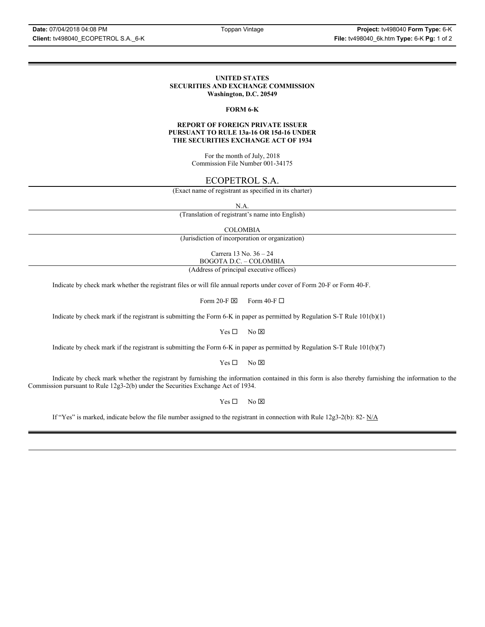#### **UNITED STATES SECURITIES AND EXCHANGE COMMISSION Washington, D.C. 20549**

#### **FORM 6-K**

#### **REPORT OF FOREIGN PRIVATE ISSUER PURSUANT TO RULE 13a-16 OR 15d-16 UNDER THE SECURITIES EXCHANGE ACT OF 1934**

For the month of July, 2018 Commission File Number 001-34175

## ECOPETROL S.A.

(Exact name of registrant as specified in its charter)

N.A.

(Translation of registrant's name into English)

COLOMBIA

(Jurisdiction of incorporation or organization)

Carrera 13 No. 36 – 24 BOGOTA D.C. – COLOMBIA

(Address of principal executive offices)

Indicate by check mark whether the registrant files or will file annual reports under cover of Form 20-F or Form 40-F.

Form 20-F  $\boxtimes$  Form 40-F  $\Box$ 

Indicate by check mark if the registrant is submitting the Form 6-K in paper as permitted by Regulation S-T Rule 101(b)(1)

 $Yes \Box$  No  $\boxtimes$ 

Indicate by check mark if the registrant is submitting the Form 6-K in paper as permitted by Regulation S-T Rule 101(b)(7)

 $Yes \Box$  No  $\boxtimes$ 

Indicate by check mark whether the registrant by furnishing the information contained in this form is also thereby furnishing the information to the Commission pursuant to Rule 12g3-2(b) under the Securities Exchange Act of 1934.

 $Yes \Box$  No  $\boxtimes$ 

If "Yes" is marked, indicate below the file number assigned to the registrant in connection with Rule 12g3-2(b): 82-  $N/A$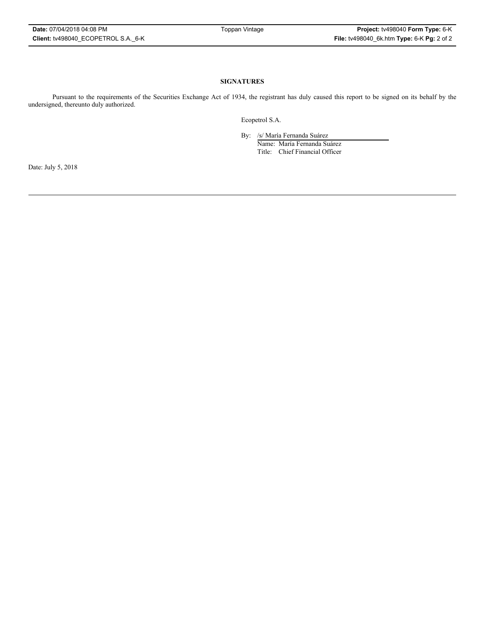### **SIGNATURES**

Pursuant to the requirements of the Securities Exchange Act of 1934, the registrant has duly caused this report to be signed on its behalf by the undersigned, thereunto duly authorized.

Ecopetrol S.A.

By: /s/ María Fernanda Suárez

Name: María Fernanda Suárez Title: Chief Financial Officer

Date: July 5, 2018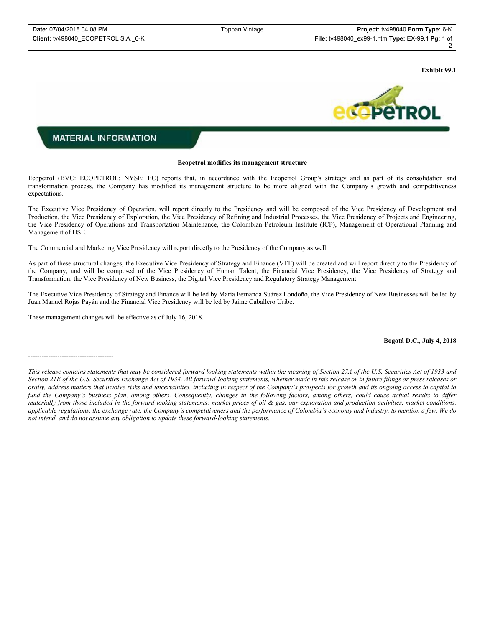**Exhibit 99.1**



## **MATERIAL INFORMATION**

#### **Ecopetrol modifies its management structure**

Ecopetrol (BVC: ECOPETROL; NYSE: EC) reports that, in accordance with the Ecopetrol Group's strategy and as part of its consolidation and transformation process, the Company has modified its management structure to be more aligned with the Company's growth and competitiveness expectations.

The Executive Vice Presidency of Operation, will report directly to the Presidency and will be composed of the Vice Presidency of Development and Production, the Vice Presidency of Exploration, the Vice Presidency of Refining and Industrial Processes, the Vice Presidency of Projects and Engineering, the Vice Presidency of Operations and Transportation Maintenance, the Colombian Petroleum Institute (ICP), Management of Operational Planning and Management of HSE.

The Commercial and Marketing Vice Presidency will report directly to the Presidency of the Company as well.

As part of these structural changes, the Executive Vice Presidency of Strategy and Finance (VEF) will be created and will report directly to the Presidency of the Company, and will be composed of the Vice Presidency of Human Talent, the Financial Vice Presidency, the Vice Presidency of Strategy and Transformation, the Vice Presidency of New Business, the Digital Vice Presidency and Regulatory Strategy Management.

The Executive Vice Presidency of Strategy and Finance will be led by María Fernanda Suárez Londoño, the Vice Presidency of New Businesses will be led by Juan Manuel Rojas Payán and the Financial Vice Presidency will be led by Jaime Caballero Uribe.

These management changes will be effective as of July 16, 2018.

--------------------------------------

### **Bogotá D.C., July 4, 2018**

*This release contains statements that may be considered forward looking statements within the meaning of Section 27A of the U.S. Securities Act of 1933 and Section 21E of the U.S. Securities Exchange Act of 1934. All forward-looking statements, whether made in this release or in future filings or press releases or orally, address matters that involve risks and uncertainties, including in respect of the Company's prospects for growth and its ongoing access to capital to*  fund the Company's business plan, among others. Consequently, changes in the following factors, among others, could cause actual results to differ *materially from those included in the forward-looking statements: market prices of oil & gas, our exploration and production activities, market conditions, applicable regulations, the exchange rate, the Company's competitiveness and the performance of Colombia's economy and industry, to mention a few. We do not intend, and do not assume any obligation to update these forward-looking statements.*